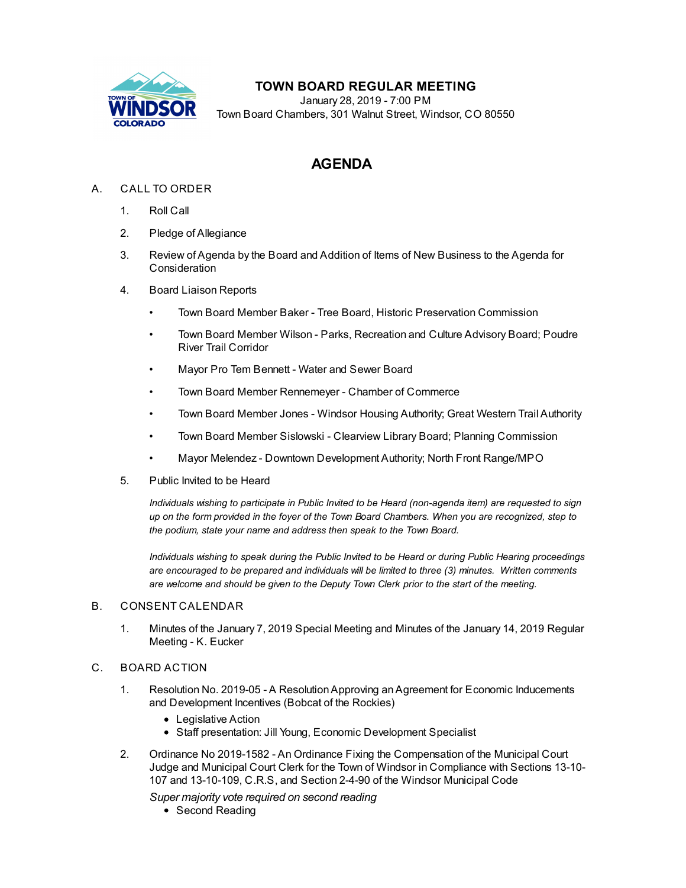

## **TOWN BOARD REGULAR MEETING**

January 28, 2019 - 7:00 PM Town Board Chambers, 301 Walnut Street, Windsor, CO 80550

# **AGENDA**

## A. CALL TO ORDER

- 1. Roll Call
- 2. Pledge of Allegiance
- 3. Review of Agenda by the Board and Addition of Items of New Business to the Agenda for Consideration
- 4. Board Liaison Reports
	- Town Board Member Baker Tree Board, Historic Preservation Commission
	- Town Board Member Wilson Parks, Recreation and Culture Advisory Board; Poudre River Trail Corridor
	- Mayor Pro Tem Bennett Water and Sewer Board
	- Town Board Member Rennemeyer Chamber of Commerce
	- Town Board Member Jones Windsor Housing Authority; Great Western Trail Authority
	- Town Board Member Sislowski Clearview Library Board; Planning Commission
	- Mayor Melendez Downtown Development Authority; North Front Range/MPO
- 5. Public Invited to be Heard

*Individuals wishing to participate in Public Invited to be Heard (non-agenda item) are requested to sign* up on the form provided in the foyer of the Town Board Chambers. When you are recognized, step to *the podium, state your name and address then speak to the Town Board.*

*Individuals wishing to speak during the Public Invited to be Heard or during Public Hearing proceedings are encouraged to be prepared and individuals will be limited to three (3) minutes. Written comments are welcome and should be given to the Deputy Town Clerk prior to the start of the meeting.*

#### B. CONSENT CALENDAR

1. Minutes of the January 7, 2019 Special [Meeting](file:///C:/Windows/TEMP/CoverSheet.aspx?ItemID=190&MeetingID=41) and Minutes of the January 14, 2019 Regular Meeting - K. Eucker

#### C. BOARD ACTION

- 1. Resolution No. 2019-05 A [ResolutionApproving](file:///C:/Windows/TEMP/CoverSheet.aspx?ItemID=174&MeetingID=41) anAgreement for Economic Inducements and Development Incentives (Bobcat of the Rockies)
	- Legislative Action
	- Staff presentation: Jill Young, Economic Development Specialist
- 2. Ordinance No 2019-1582 An Ordinance Fixing the [Compensation](file:///C:/Windows/TEMP/CoverSheet.aspx?ItemID=200&MeetingID=41) of the Municipal Court Judge and Municipal Court Clerk for the Town of Windsor in Compliance with Sections 13-10- 107 and 13-10-109, C.R.S, and Section 2-4-90 of the Windsor Municipal Code

*Super majority vote required on second reading* • Second Reading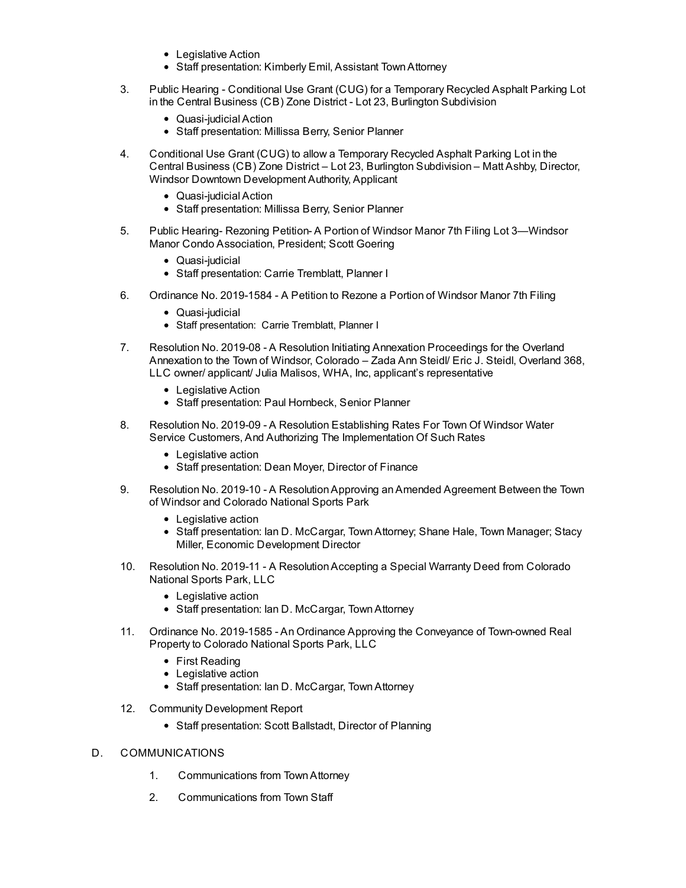- Legislative Action
- Staff presentation: Kimberly Emil, Assistant Town Attorney
- 3. Public Hearing [Conditional](file:///C:/Windows/TEMP/CoverSheet.aspx?ItemID=182&MeetingID=41) Use Grant (CUG) for a Temporary Recycled Asphalt Parking Lot in the Central Business (CB) Zone District - Lot 23, Burlington Subdivision
	- Quasi-iudicial Action
	- Staff presentation: Millissa Berry, Senior Planner
- 4. Conditional Use Grant (CUG) to allow a Temporary Recycled Asphalt Parking Lot in the Central Business (CB) Zone District – Lot 23, Burlington [Subdivision](file:///C:/Windows/TEMP/CoverSheet.aspx?ItemID=188&MeetingID=41) – Matt Ashby, Director, Windsor Downtown Development Authority, Applicant
	- Quasi-judicial Action
	- Staff presentation: Millissa Berry, Senior Planner
- 5. Public Hearing- Rezoning Petition- A Portion of Windsor Manor 7th Filing Lot [3—Windsor](file:///C:/Windows/TEMP/CoverSheet.aspx?ItemID=189&MeetingID=41) Manor Condo Association, President; Scott Goering
	- Quasi-judicial
	- Staff presentation: Carrie Tremblatt, Planner I
- 6. Ordinance No. [2019-1584](file:///C:/Windows/TEMP/CoverSheet.aspx?ItemID=187&MeetingID=41) A Petition to Rezone a Portion of Windsor Manor 7th Filing
	- Quasi-judicial
	- Staff presentation: Carrie Tremblatt, Planner I
- 7. Resolution No. 2019-08 A Resolution Initiating Annexation [Proceedings](file:///C:/Windows/TEMP/CoverSheet.aspx?ItemID=192&MeetingID=41) for the Overland Annexation to the Town of Windsor, Colorado – Zada Ann Steidl/ Eric J. Steidl, Overland 368, LLC owner/ applicant/ Julia Malisos, WHA, Inc, applicant's representative
	- Legislative Action
	- Staff presentation: Paul Hornbeck, Senior Planner
- 8. Resolution No. 2019-09 A Resolution [Establishing](file:///C:/Windows/TEMP/CoverSheet.aspx?ItemID=196&MeetingID=41) Rates For Town Of Windsor Water Service Customers, And Authorizing The Implementation Of Such Rates
	- Legislative action
	- Staff presentation: Dean Moyer, Director of Finance
- 9. Resolution No. 2019-10 A [ResolutionApproving](file:///C:/Windows/TEMP/CoverSheet.aspx?ItemID=197&MeetingID=41) anAmended Agreement Between the Town of Windsor and Colorado National Sports Park
	- Legislative action
	- Staff presentation: Ian D. McCargar, Town Attorney; Shane Hale, Town Manager; Stacy Miller, Economic Development Director
- 10. Resolution No. 2019-11 A [ResolutionAccepting](file:///C:/Windows/TEMP/CoverSheet.aspx?ItemID=198&MeetingID=41) a Special Warranty Deed from Colorado National Sports Park, LLC
	- Legislative action
	- Staff presentation: Ian D. McCargar, Town Attorney
- 11. Ordinance No. 2019-1585 An Ordinance Approving the [Conveyance](file:///C:/Windows/TEMP/CoverSheet.aspx?ItemID=199&MeetingID=41) of Town-owned Real Property to Colorado National Sports Park, LLC
	- First Reading
	- Legislative action
	- Staff presentation: Ian D. McCargar, Town Attorney
- 12. Community [Development](file:///C:/Windows/TEMP/CoverSheet.aspx?ItemID=191&MeetingID=41) Report
	- Staff presentation: Scott Ballstadt, Director of Planning
- D. COMMUNICATIONS
	- 1. Communications from TownAttorney
	- 2. Communications from Town Staff